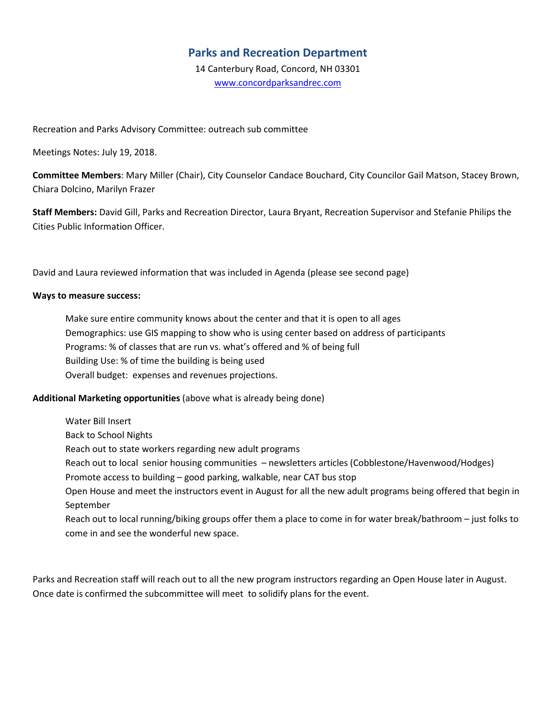## **Parks and Recreation Department**

14 Canterbury Road, Concord, NH 03301 www.concordparksandrec.com

Recreation and Parks Advisory Committee: outreach sub committee

Meetings Notes: July 19, 2018.

**Committee Members**: Mary Miller (Chair), City Counselor Candace Bouchard, City Councilor Gail Matson, Stacey Brown, Chiara Dolcino, Marilyn Frazer

**Staff Members:** David Gill, Parks and Recreation Director, Laura Bryant, Recreation Supervisor and Stefanie Philips the Cities Public Information Officer.

David and Laura reviewed information that was included in Agenda (please see second page)

#### **Ways to measure success:**

Make sure entire community knows about the center and that it is open to all ages Demographics: use GIS mapping to show who is using center based on address of participants Programs: % of classes that are run vs. what's offered and % of being full Building Use: % of time the building is being used Overall budget: expenses and revenues projections.

### **Additional Marketing opportunities** (above what is already being done)

Water Bill Insert

Back to School Nights

Reach out to state workers regarding new adult programs

Reach out to local senior housing communities – newsletters articles (Cobblestone/Havenwood/Hodges)

Promote access to building – good parking, walkable, near CAT bus stop

Open House and meet the instructors event in August for all the new adult programs being offered that begin in September

Reach out to local running/biking groups offer them a place to come in for water break/bathroom – just folks to come in and see the wonderful new space.

Parks and Recreation staff will reach out to all the new program instructors regarding an Open House later in August. Once date is confirmed the subcommittee will meet to solidify plans for the event.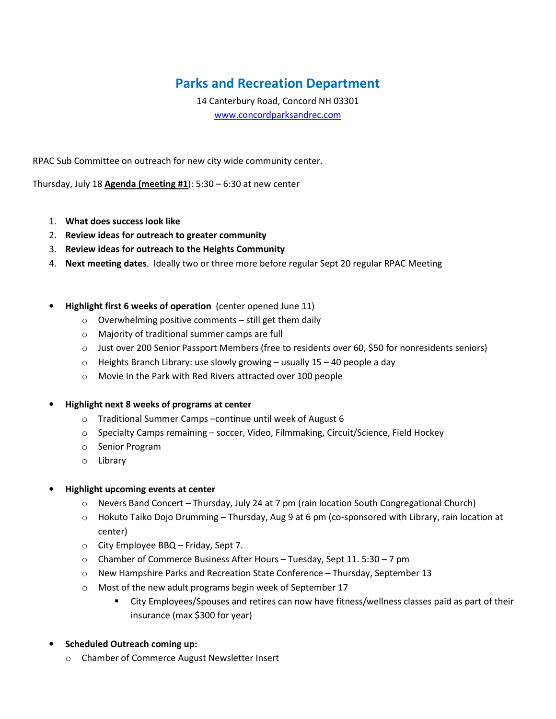# **Parks and Recreation Department**

14 Canterbury Road, Concord NH 03301 www.concordparksandrec.com

RPAC Sub Committee on outreach for new city wide community center.

Thursday, July 18 **Agenda (meeting #1**): 5:30 – 6:30 at new center

- 1. **What does success look like**
- 2. **Review ideas for outreach to greater community**
- 3. **Review ideas for outreach to the Heights Community**
- 4. **Next meeting dates**. Ideally two or three more before regular Sept 20 regular RPAC Meeting
- **Highlight first 6 weeks of operation** (center opened June 11)
	- $\circ$  Overwhelming positive comments still get them daily
	- o Majority of traditional summer camps are full
	- o Just over 200 Senior Passport Members (free to residents over 60, \$50 for nonresidents seniors)
	- $\circ$  Heights Branch Library: use slowly growing usually 15 40 people a day
	- o Movie In the Park with Red Rivers attracted over 100 people

### • **Highlight next 8 weeks of programs at center**

- o Traditional Summer Camps –continue until week of August 6
- $\circ$  Specialty Camps remaining soccer, Video, Filmmaking, Circuit/Science, Field Hockey
- o Senior Program
- o Library

### • **Highlight upcoming events at center**

- $\circ$  Nevers Band Concert Thursday, July 24 at 7 pm (rain location South Congregational Church)
- $\circ$  Hokuto Taiko Dojo Drumming Thursday, Aug 9 at 6 pm (co-sponsored with Library, rain location at center)
- o City Employee BBQ Friday, Sept 7.
- o Chamber of Commerce Business After Hours Tuesday, Sept 11. 5:30 7 pm
- o New Hampshire Parks and Recreation State Conference Thursday, September 13
- o Most of the new adult programs begin week of September 17
	- City Employees/Spouses and retires can now have fitness/wellness classes paid as part of their insurance (max \$300 for year)
- **Scheduled Outreach coming up:** 
	- o Chamber of Commerce August Newsletter Insert